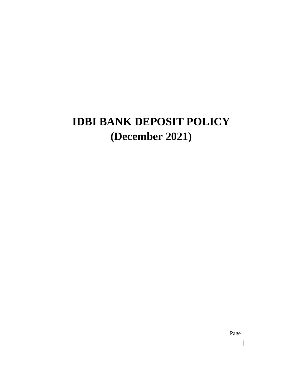# **IDBI BANK DEPOSIT POLICY (December 2021)**

Page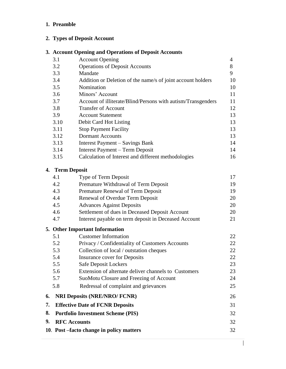# **1. Preamble**

# **2. Types of Deposit Account**

# **3. Account Opening and Operations of Deposit Accounts**

|    | 3.1                 | <b>Account Opening</b>                                       | 4  |
|----|---------------------|--------------------------------------------------------------|----|
|    | 3.2                 | <b>Operations of Deposit Accounts</b>                        | 8  |
|    | 3.3                 | Mandate                                                      | 9  |
|    | 3.4                 | Addition or Deletion of the name/s of joint account holders  | 10 |
|    | 3.5                 | Nomination                                                   | 10 |
|    | 3.6                 | Minors' Account                                              | 11 |
|    | 3.7                 | Account of illiterate/Blind/Persons with autism/Transgenders | 11 |
|    | 3.8                 | <b>Transfer of Account</b>                                   | 12 |
|    | 3.9                 | <b>Account Statement</b>                                     | 13 |
|    | 3.10                | Debit Card Hot Listing                                       | 13 |
|    | 3.11                | <b>Stop Payment Facility</b>                                 | 13 |
|    | 3.12                | <b>Dormant Accounts</b>                                      | 13 |
|    | 3.13                | Interest Payment – Savings Bank                              | 14 |
|    | 3.14                | Interest Payment - Term Deposit                              | 14 |
|    | 3.15                | Calculation of Interest and different methodologies          | 16 |
|    | 4. Term Deposit     |                                                              |    |
|    | 4.1                 | Type of Term Deposit                                         | 17 |
|    | 4.2                 | Premature Withdrawal of Term Deposit                         | 19 |
|    | 4.3                 | Premature Renewal of Term Deposit                            | 19 |
|    | 4.4                 | Renewal of Overdue Term Deposit                              | 20 |
|    | 4.5                 | <b>Advances Against Deposits</b>                             | 20 |
|    | 4.6                 | Settlement of dues in Deceased Deposit Account               | 20 |
|    | 4.7                 | Interest payable on term deposit in Deceased Account         | 21 |
|    |                     | 5. Other Important Information                               |    |
|    | 5.1                 | <b>Customer Information</b>                                  | 22 |
|    | 5.2                 | Privacy / Confidentiality of Customers Accounts              | 22 |
|    | 5.3                 | Collection of local / outstation cheques                     | 22 |
|    | 5.4                 | <b>Insurance cover for Deposits</b>                          | 22 |
|    | 5.5                 | Safe Deposit Lockers                                         | 23 |
|    | 5.6                 | Extension of alternate deliver channels to Customers         | 23 |
|    | 5.7                 | SuoMotu Closure and Freezing of Account                      | 24 |
|    | 5.8                 | Redressal of complaint and grievances                        | 25 |
| 6. |                     | <b>NRI Deposits (NRE/NRO/ FCNR)</b>                          | 26 |
| 7. |                     | <b>Effective Date of FCNR Deposits</b>                       | 31 |
| 8. |                     | <b>Portfolio Investment Scheme (PIS)</b>                     | 32 |
| 9. | <b>RFC</b> Accounts |                                                              | 32 |
|    |                     | 10. Post –facto change in policy matters                     | 32 |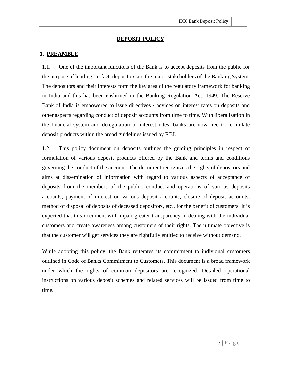#### **DEPOSIT POLICY**

#### **1. PREAMBLE**

1.1. One of the important functions of the Bank is to accept deposits from the public for the purpose of lending. In fact, depositors are the major stakeholders of the Banking System. The depositors and their interests form the key area of the regulatory framework for banking in India and this has been enshrined in the Banking Regulation Act, 1949. The Reserve Bank of India is empowered to issue directives / advices on interest rates on deposits and other aspects regarding conduct of deposit accounts from time to time. With liberalization in the financial system and deregulation of interest rates, banks are now free to formulate deposit products within the broad guidelines issued by RBI.

1.2. This policy document on deposits outlines the guiding principles in respect of formulation of various deposit products offered by the Bank and terms and conditions governing the conduct of the account. The document recognizes the rights of depositors and aims at dissemination of information with regard to various aspects of acceptance of deposits from the members of the public, conduct and operations of various deposits accounts, payment of interest on various deposit accounts, closure of deposit accounts, method of disposal of deposits of deceased depositors, etc., for the benefit of customers. It is expected that this document will impart greater transparency in dealing with the individual customers and create awareness among customers of their rights. The ultimate objective is that the customer will get services they are rightfully entitled to receive without demand.

While adopting this policy, the Bank reiterates its commitment to individual customers outlined in Code of Banks Commitment to Customers. This document is a broad framework under which the rights of common depositors are recognized. Detailed operational instructions on various deposit schemes and related services will be issued from time to time.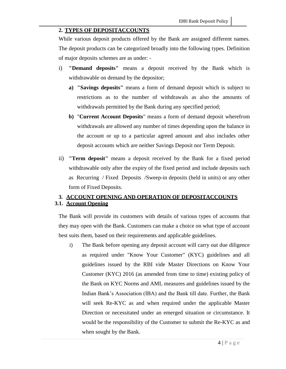#### **2. TYPES OF DEPOSITACCOUNTS**

While various deposit products offered by the Bank are assigned different names. The deposit products can be categorized broadly into the following types. Definition of major deposits schemes are as under: -

- i) **"Demand deposits"** means a deposit received by the Bank which is withdrawable on demand by the depositor;
	- **a) "Savings deposits"** means a form of demand deposit which is subject to restrictions as to the number of withdrawals as also the amounts of withdrawals permitted by the Bank during any specified period;
	- **b)** "**Current Account Deposits**" means a form of demand deposit wherefrom withdrawals are allowed any number of times depending upon the balance in the account or up to a particular agreed amount and also includes other deposit accounts which are neither Savings Deposit nor Term Deposit.
- ii) **"Term deposit"** means a deposit received by the Bank for a fixed period withdrawable only after the expiry of the fixed period and include deposits such as Recurring / Fixed Deposits /Sweep-in deposits (held in units) or any other form of Fixed Deposits.

## **3. ACCOUNT OPENING AND OPERATION OF DEPOSITACCOUNTS 3.1. Account Opening**

The Bank will provide its customers with details of various types of accounts that they may open with the Bank. Customers can make a choice on what type of account best suits them, based on their requirements and applicable guidelines.

i) The Bank before opening any deposit account will carry out due diligence as required under "Know Your Customer" (KYC) guidelines and all guidelines issued by the RBI vide Master Directions on Know Your Customer (KYC) 2016 (as amended from time to time) existing policy of the Bank on KYC Norms and AML measures and guidelines issued by the Indian Bank's Association (IBA) and the Bank till date. Further, the Bank will seek Re-KYC as and when required under the applicable Master Direction or necessitated under an emerged situation or circumstance. It would be the responsibility of the Customer to submit the Re-KYC as and when sought by the Bank.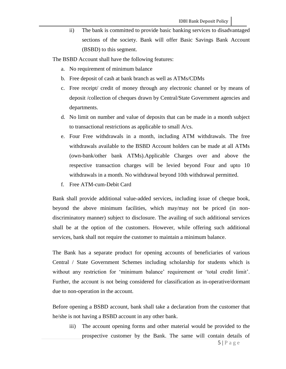ii) The bank is committed to provide basic banking services to disadvantaged sections of the society. Bank will offer Basic Savings Bank Account (BSBD) to this segment.

The BSBD Account shall have the following features:

- a. No requirement of minimum balance
- b. Free deposit of cash at bank branch as well as ATMs/CDMs
- c. Free receipt/ credit of money through any electronic channel or by means of deposit /collection of cheques drawn by Central/State Government agencies and departments.
- d. No limit on number and value of deposits that can be made in a month subject to transactional restrictions as applicable to small A/cs.
- e. Four Free withdrawals in a month, including ATM withdrawals. The free withdrawals available to the BSBD Account holders can be made at all ATMs (own-bank/other bank ATMs).Applicable Charges over and above the respective transaction charges will be levied beyond Four and upto 10 withdrawals in a month. No withdrawal beyond 10th withdrawal permitted.
- f. Free ATM-cum-Debit Card

Bank shall provide additional value-added services, including issue of cheque book, beyond the above minimum facilities, which may/may not be priced (in nondiscriminatory manner) subject to disclosure. The availing of such additional services shall be at the option of the customers. However, while offering such additional services, bank shall not require the customer to maintain a minimum balance.

The Bank has a separate product for opening accounts of beneficiaries of various Central / State Government Schemes including scholarship for students which is without any restriction for 'minimum balance' requirement or 'total credit limit'. Further, the account is not being considered for classification as in-operative/dormant due to non-operation in the account.

Before opening a BSBD account, bank shall take a declaration from the customer that he/she is not having a BSBD account in any other bank.

iii) The account opening forms and other material would be provided to the prospective customer by the Bank. The same will contain details of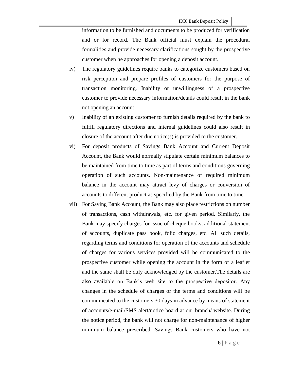information to be furnished and documents to be produced for verification and or for record. The Bank official must explain the procedural formalities and provide necessary clarifications sought by the prospective customer when he approaches for opening a deposit account.

- iv) The regulatory guidelines require banks to categorize customers based on risk perception and prepare profiles of customers for the purpose of transaction monitoring. Inability or unwillingness of a prospective customer to provide necessary information/details could result in the bank not opening an account.
- v) Inability of an existing customer to furnish details required by the bank to fulfill regulatory directions and internal guidelines could also result in closure of the account after due notice(s) is provided to the customer.
- vi) For deposit products of Savings Bank Account and Current Deposit Account, the Bank would normally stipulate certain minimum balances to be maintained from time to time as part of terms and conditions governing operation of such accounts. Non-maintenance of required minimum balance in the account may attract levy of charges or conversion of accounts to different product as specified by the Bank from time to time.
- vii) For Saving Bank Account, the Bank may also place restrictions on number of transactions, cash withdrawals, etc. for given period. Similarly, the Bank may specify charges for issue of cheque books, additional statement of accounts, duplicate pass book, folio charges, etc. All such details, regarding terms and conditions for operation of the accounts and schedule of charges for various services provided will be communicated to the prospective customer while opening the account in the form of a leaflet and the same shall be duly acknowledged by the customer.The details are also available on Bank's web site to the prospective depositor. Any changes in the schedule of charges or the terms and conditions will be communicated to the customers 30 days in advance by means of statement of accounts/e-mail/SMS alert/notice board at our branch/ website. During the notice period, the bank will not charge for non-maintenance of higher minimum balance prescribed. Savings Bank customers who have not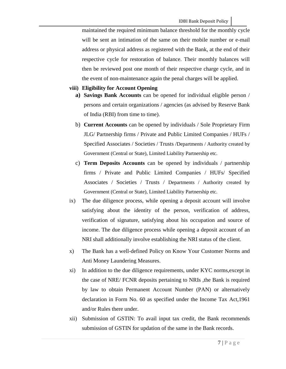maintained the required minimum balance threshold for the monthly cycle will be sent an intimation of the same on their mobile number or e-mail address or physical address as registered with the Bank, at the end of their respective cycle for restoration of balance. Their monthly balances will then be reviewed post one month of their respective charge cycle, and in the event of non-maintenance again the penal charges will be applied.

#### **viii) Eligibility for Account Opening**

- **a) Savings Bank Accounts** can be opened for individual eligible person / persons and certain organizations / agencies (as advised by Reserve Bank of India (RBI) from time to time).
- b) **Current Accounts** can be opened by individuals / Sole Proprietary Firm JLG/ Partnership firms / Private and Public Limited Companies / HUFs / Specified Associates / Societies / Trusts /Departments / Authority created by Government (Central or State), Limited Liability Partnership etc.
- c) **Term Deposits Accounts** can be opened by individuals / partnership firms / Private and Public Limited Companies / HUFs/ Specified Associates / Societies / Trusts / Departments / Authority created by Government (Central or State), Limited Liability Partnership etc.
- ix) The due diligence process, while opening a deposit account will involve satisfying about the identity of the person, verification of address, verification of signature, satisfying about his occupation and source of income. The due diligence process while opening a deposit account of an NRI shall additionally involve establishing the NRI status of the client.
- x) The Bank has a well-defined Policy on Know Your Customer Norms and Anti Money Laundering Measures.
- xi) In addition to the due diligence requirements, under KYC norms,except in the case of NRE/ FCNR deposits pertaining to NRIs ,the Bank is required by law to obtain Permanent Account Number (PAN) or alternatively declaration in Form No. 60 as specified under the Income Tax Act,1961 and/or Rules there under.
- xii) Submission of GSTIN: To avail input tax credit, the Bank recommends submission of GSTIN for updation of the same in the Bank records.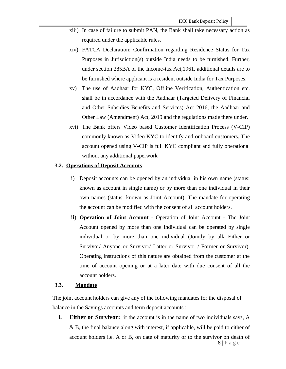- xiii) In case of failure to submit PAN, the Bank shall take necessary action as required under the applicable rules.
- xiv) FATCA Declaration: Confirmation regarding Residence Status for Tax Purposes in Jurisdiction(s) outside India needs to be furnished. Further, under section 285BA of the Income-tax Act,1961, additional details are to be furnished where applicant is a resident outside India for Tax Purposes.
- xv) The use of Aadhaar for KYC, Offline Verification, Authentication etc. shall be in accordance with the Aadhaar (Targeted Delivery of Financial and Other Subsidies Benefits and Services) Act 2016, the Aadhaar and Other Law (Amendment) Act, 2019 and the regulations made there under.
- xvi) The Bank offers Video based Customer Identification Process (V-CIP) commonly known as Video KYC to identify and onboard customers. The account opened using V-CIP is full KYC compliant and fully operational without any additional paperwork

#### **3.2. Operations of Deposit Accounts**

- i) Deposit accounts can be opened by an individual in his own name (status: known as account in single name) or by more than one individual in their own names (status: known as Joint Account). The mandate for operating the account can be modified with the consent of all account holders.
- ii) **Operation of Joint Account**  Operation of Joint Account The Joint Account opened by more than one individual can be operated by single individual or by more than one individual (Jointly by all/ Either or Survivor/ Anyone or Survivor/ Latter or Survivor / Former or Survivor). Operating instructions of this nature are obtained from the customer at the time of account opening or at a later date with due consent of all the account holders.

#### **3.3. Mandate**

The joint account holders can give any of the following mandates for the disposal of balance in the Savings accounts and term deposit accounts :

**i. Either or Survivor:** if the account is in the name of two individuals says, A & B, the final balance along with interest, if applicable, will be paid to either of account holders i.e. A or B, on date of maturity or to the survivor on death of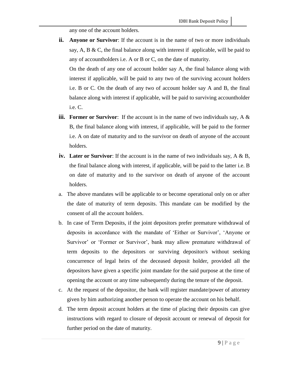any one of the account holders.

**ii. Anyone or Survivor**: If the account is in the name of two or more individuals say, A, B & C, the final balance along with interest if applicable, will be paid to any of accountholders i.e. A or B or C, on the date of maturity.

On the death of any one of account holder say A, the final balance along with interest if applicable, will be paid to any two of the surviving account holders i.e. B or C. On the death of any two of account holder say A and B, the final balance along with interest if applicable, will be paid to surviving accountholder i.e. C.

- **iii. Former or Survivor**: If the account is in the name of two individuals say, A & B, the final balance along with interest, if applicable, will be paid to the former i.e. A on date of maturity and to the survivor on death of anyone of the account holders.
- **iv. Later or Survivor**: If the account is in the name of two individuals say, A & B, the final balance along with interest, if applicable, will be paid to the latter i.e. B on date of maturity and to the survivor on death of anyone of the account holders.
- a. The above mandates will be applicable to or become operational only on or after the date of maturity of term deposits. This mandate can be modified by the consent of all the account holders.
- b. In case of Term Deposits, if the joint depositors prefer premature withdrawal of deposits in accordance with the mandate of 'Either or Survivor', 'Anyone or Survivor' or 'Former or Survivor', bank may allow premature withdrawal of term deposits to the depositors or surviving depositor/s without seeking concurrence of legal heirs of the deceased deposit holder, provided all the depositors have given a specific joint mandate for the said purpose at the time of opening the account or any time subsequently during the tenure of the deposit.
- c. At the request of the depositor, the bank will register mandate/power of attorney given by him authorizing another person to operate the account on his behalf.
- d. The term deposit account holders at the time of placing their deposits can give instructions with regard to closure of deposit account or renewal of deposit for further period on the date of maturity.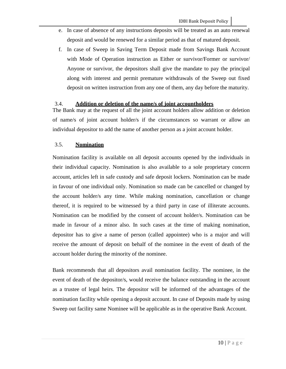- e. In case of absence of any instructions deposits will be treated as an auto renewal deposit and would be renewed for a similar period as that of matured deposit.
- f. In case of Sweep in Saving Term Deposit made from Savings Bank Account with Mode of Operation instruction as Either or survivor/Former or survivor/ Anyone or survivor, the depositors shall give the mandate to pay the principal along with interest and permit premature withdrawals of the Sweep out fixed deposit on written instruction from any one of them, any day before the maturity.

#### 3.4. **Addition or deletion of the name/s of joint accountholders**

The Bank may at the request of all the joint account holders allow addition or deletion of name/s of joint account holder/s if the circumstances so warrant or allow an individual depositor to add the name of another person as a joint account holder.

#### 3.5. **Nomination**

Nomination facility is available on all deposit accounts opened by the individuals in their individual capacity. Nomination is also available to a sole proprietary concern account, articles left in safe custody and safe deposit lockers. Nomination can be made in favour of one individual only. Nomination so made can be cancelled or changed by the account holder/s any time. While making nomination, cancellation or change thereof, it is required to be witnessed by a third party in case of illiterate accounts. Nomination can be modified by the consent of account holder/s. Nomination can be made in favour of a minor also. In such cases at the time of making nomination, depositor has to give a name of person (called appointee) who is a major and will receive the amount of deposit on behalf of the nominee in the event of death of the account holder during the minority of the nominee.

Bank recommends that all depositors avail nomination facility. The nominee, in the event of death of the depositor/s, would receive the balance outstanding in the account as a trustee of legal heirs. The depositor will be informed of the advantages of the nomination facility while opening a deposit account. In case of Deposits made by using Sweep out facility same Nominee will be applicable as in the operative Bank Account.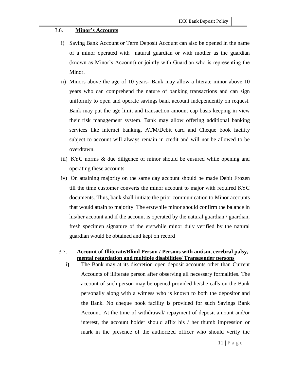#### 3.6. **Minor's Accounts**

- i) Saving Bank Account or Term Deposit Account can also be opened in the name of a minor operated with natural guardian or with mother as the guardian (known as Minor's Account) or jointly with Guardian who is representing the Minor.
- ii) Minors above the age of 10 years- Bank may allow a literate minor above 10 years who can comprehend the nature of banking transactions and can sign uniformly to open and operate savings bank account independently on request. Bank may put the age limit and transaction amount cap basis keeping in view their risk management system. Bank may allow offering additional banking services like internet banking, ATM/Debit card and Cheque book facility subject to account will always remain in credit and will not be allowed to be overdrawn.
- iii) KYC norms & due diligence of minor should be ensured while opening and operating these accounts.
- iv) On attaining majority on the same day account should be made Debit Frozen till the time customer converts the minor account to major with required KYC documents. Thus, bank shall initiate the prior communication to Minor accounts that would attain to majority. The erstwhile minor should confirm the balance in his/her account and if the account is operated by the natural guardian / guardian, fresh specimen signature of the erstwhile minor duly verified by the natural guardian would be obtained and kept on record

## 3.7. **Account of Illiterate/Blind Person / Persons with autism, cerebral palsy, mental retardation and multiple disabilities/ Transgender persons**

**i)** The Bank may at its discretion open deposit accounts other than Current Accounts of illiterate person after observing all necessary formalities. The account of such person may be opened provided he/she calls on the Bank personally along with a witness who is known to both the depositor and the Bank. No cheque book facility is provided for such Savings Bank Account. At the time of withdrawal/ repayment of deposit amount and/or interest, the account holder should affix his / her thumb impression or mark in the presence of the authorized officer who should verify the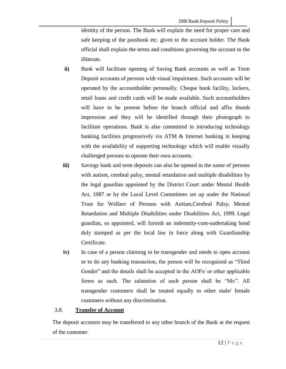identity of the person. The Bank will explain the need for proper care and safe keeping of the passbook etc. given to the account holder. The Bank official shall explain the terms and conditions governing the account to the illiterate.

- **ii)** Bank will facilitate opening of Saving Bank accounts as well as Term Deposit accounts of persons with visual impairment. Such accounts will be operated by the accountholder personally. Cheque book facility, lockers, retail loans and credit cards will be made available. Such accountholders will have to be present before the branch official and affix thumb impression and they will be identified through their photograph to facilitate operations. Bank is also committed in introducing technology banking facilities progressively via ATM & Internet banking in keeping with the availability of supporting technology which will enable visually challenged persons to operate their own accounts.
- **iii)** Savings bank and term deposits can also be opened in the name of persons with autism, cerebral palsy, mental retardation and multiple disabilities by the legal guardian appointed by the District Court under Mental Health Act, 1987 or by the Local Level Committees set up under the National Trust for Welfare of Persons with Autism,Cerebral Palsy, Mental Retardation and Multiple Disabilities under Disabilities Act, 1999. Legal guardian, so appointed, will furnish an indemnity-cum-undertaking bond duly stamped as per the local law in force along with Guardianship Certificate.
- **iv)** In case of a person claiming to be transgender and needs to open account or to do any banking transaction, the person will be recognized as "Third Gender" and the details shall be accepted in the AOFs/ or other applicable forms as such. The salutation of such person shall be "Mx". All transgender customers shall be treated equally to other male/ female customers without any discrimination.

#### 3.8. **Transfer of Account**

The deposit accounts may be transferred to any other branch of the Bank at the request of the customer.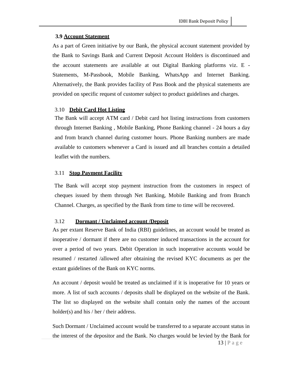#### **3.9 Account Statement**

As a part of Green initiative by our Bank, the physical account statement provided by the Bank to Savings Bank and Current Deposit Account Holders is discontinued and the account statements are available at out Digital Banking platforms viz. E - Statements, M-Passbook, Mobile Banking, WhatsApp and Internet Banking. Alternatively, the Bank provides facility of Pass Book and the physical statements are provided on specific request of customer subject to product guidelines and charges.

#### 3.10 **Debit Card Hot Listing**

The Bank will accept ATM card / Debit card hot listing instructions from customers through Internet Banking , Mobile Banking, Phone Banking channel - 24 hours a day and from branch channel during customer hours. Phone Banking numbers are made available to customers whenever a Card is issued and all branches contain a detailed leaflet with the numbers.

#### 3.11 **Stop Payment Facility**

The Bank will accept stop payment instruction from the customers in respect of cheques issued by them through Net Banking, Mobile Banking and from Branch Channel. Charges, as specified by the Bank from time to time will be recovered.

#### 3.12 **Dormant / Unclaimed account /Deposit**

As per extant Reserve Bank of India (RBI) guidelines, an account would be treated as inoperative / dormant if there are no customer induced transactions in the account for over a period of two years. Debit Operation in such inoperative accounts would be resumed / restarted /allowed after obtaining the revised KYC documents as per the extant guidelines of the Bank on KYC norms.

An account / deposit would be treated as unclaimed if it is inoperative for 10 years or more. A list of such accounts / deposits shall be displayed on the website of the Bank. The list so displayed on the website shall contain only the names of the account holder(s) and his / her / their address.

Such Dormant / Unclaimed account would be transferred to a separate account status in the interest of the depositor and the Bank. No charges would be levied by the Bank for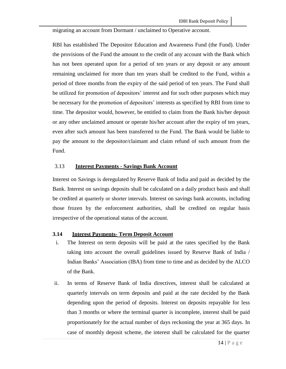migrating an account from Dormant / unclaimed to Operative account.

RBI has established The Depositor Education and Awareness Fund (the Fund). Under the provisions of the Fund the amount to the credit of any account with the Bank which has not been operated upon for a period of ten years or any deposit or any amount remaining unclaimed for more than ten years shall be credited to the Fund, within a period of three months from the expiry of the said period of ten years. The Fund shall be utilized for promotion of depositors' interest and for such other purposes which may be necessary for the promotion of depositors' interests as specified by RBI from time to time. The depositor would, however, be entitled to claim from the Bank his/her deposit or any other unclaimed amount or operate his/her account after the expiry of ten years, even after such amount has been transferred to the Fund. The Bank would be liable to pay the amount to the depositor/claimant and claim refund of such amount from the Fund.

#### 3.13 **Interest Payments - Savings Bank Account**

Interest on Savings is deregulated by Reserve Bank of India and paid as decided by the Bank. Interest on savings deposits shall be calculated on a daily product basis and shall be credited at quarterly or shorter intervals. Interest on savings bank accounts, including those frozen by the enforcement authorities, shall be credited on regular basis irrespective of the operational status of the account.

#### **3.14 Interest Payments- Term Deposit Account**

- i. The Interest on term deposits will be paid at the rates specified by the Bank taking into account the overall guidelines issued by Reserve Bank of India / Indian Banks' Association (IBA) from time to time and as decided by the ALCO of the Bank.
- ii. In terms of Reserve Bank of India directives, interest shall be calculated at quarterly intervals on term deposits and paid at the rate decided by the Bank depending upon the period of deposits. Interest on deposits repayable for less than 3 months or where the terminal quarter is incomplete, interest shall be paid proportionately for the actual number of days reckoning the year at 365 days. In case of monthly deposit scheme, the interest shall be calculated for the quarter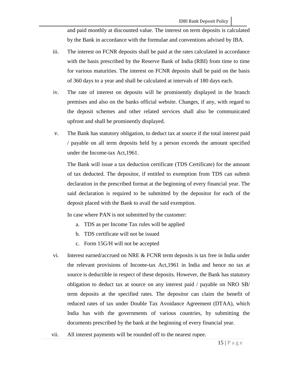and paid monthly at discounted value. The interest on term deposits is calculated by the Bank in accordance with the formulae and conventions advised by IBA.

- iii. The interest on FCNR deposits shall be paid at the rates calculated in accordance with the basis prescribed by the Reserve Bank of India (RBI) from time to time for various maturities. The interest on FCNR deposits shall be paid on the basis of 360 days to a year and shall be calculated at intervals of 180 days each.
- iv. The rate of interest on deposits will be prominently displayed in the branch premises and also on the banks official website. Changes, if any, with regard to the deposit schemes and other related services shall also be communicated upfront and shall be prominently displayed.
- v. The Bank has statutory obligation, to deduct tax at source if the total interest paid / payable on all term deposits held by a person exceeds the amount specified under the Income-tax Act,1961.

The Bank will issue a tax deduction certificate (TDS Certificate) for the amount of tax deducted. The depositor, if entitled to exemption from TDS can submit declaration in the prescribed format at the beginning of every financial year. The said declaration is required to be submitted by the depositor for each of the deposit placed with the Bank to avail the said exemption.

In case where PAN is not submitted by the customer:

- a. TDS as per Income Tax rules will be applied
- b. TDS certificate will not be issued
- c. Form 15G/H will not be accepted
- vi. Interest earned/accrued on NRE & FCNR term deposits is tax free in India under the relevant provisions of Income-tax Act,1961 in India and hence no tax at source is deductible in respect of these deposits. However, the Bank has statutory obligation to deduct tax at source on any interest paid / payable on NRO SB/ term deposits at the specified rates. The depositor can claim the benefit of reduced rates of tax under Double Tax Avoidance Agreement (DTAA), which India has with the governments of various countries, by submitting the documents prescribed by the bank at the beginning of every financial year.
- vii. All interest payments will be rounded off to the nearest rupee.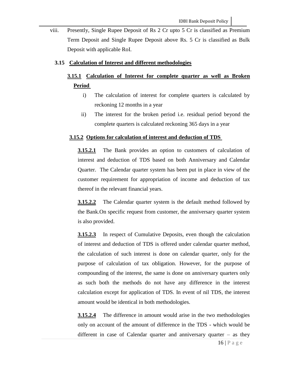viii. Presently, Single Rupee Deposit of Rs 2 Cr upto 5 Cr is classified as Premium Term Deposit and Single Rupee Deposit above Rs. 5 Cr is classified as Bulk Deposit with applicable RoI.

#### **3.15 Calculation of Interest and different methodologies**

## **3.15.1 Calculation of Interest for complete quarter as well as Broken Period**

- i) The calculation of interest for complete quarters is calculated by reckoning 12 months in a year
- ii) The interest for the broken period i.e. residual period beyond the complete quarters is calculated reckoning 365 days in a year

#### **3.15.2 Options for calculation of interest and deduction of TDS**

**3.15.2.1** The Bank provides an option to customers of calculation of interest and deduction of TDS based on both Anniversary and Calendar Quarter. The Calendar quarter system has been put in place in view of the customer requirement for appropriation of income and deduction of tax thereof in the relevant financial years.

**3.15.2.2** The Calendar quarter system is the default method followed by the Bank.On specific request from customer, the anniversary quarter system is also provided.

**3.15.2.3** In respect of Cumulative Deposits, even though the calculation of interest and deduction of TDS is offered under calendar quarter method, the calculation of such interest is done on calendar quarter, only for the purpose of calculation of tax obligation. However, for the purpose of compounding of the interest, the same is done on anniversary quarters only as such both the methods do not have any difference in the interest calculation except for application of TDS. In event of nil TDS, the interest amount would be identical in both methodologies.

**3.15.2.4** The difference in amount would arise in the two methodologies only on account of the amount of difference in the TDS - which would be different in case of Calendar quarter and anniversary quarter – as they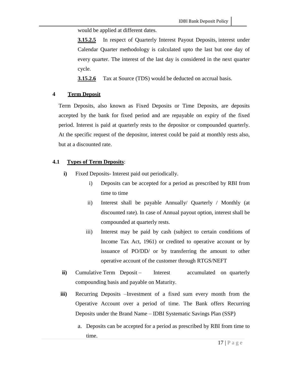would be applied at different dates.

**3.15.2.5** In respect of Quarterly Interest Payout Deposits, interest under Calendar Quarter methodology is calculated upto the last but one day of every quarter. The interest of the last day is considered in the next quarter cycle.

**3.15.2.6** Tax at Source (TDS) would be deducted on accrual basis.

#### **4 Term Deposit**

Term Deposits, also known as Fixed Deposits or Time Deposits, are deposits accepted by the bank for fixed period and are repayable on expiry of the fixed period. Interest is paid at quarterly rests to the depositor or compounded quarterly. At the specific request of the depositor, interest could be paid at monthly rests also, but at a discounted rate.

#### **4.1 Types of Term Deposits**:

- **i)** Fixed Deposits- Interest paid out periodically.
	- i) Deposits can be accepted for a period as prescribed by RBI from time to time
	- ii) Interest shall be payable Annually/ Quarterly / Monthly (at discounted rate). In case of Annual payout option, interest shall be compounded at quarterly rests.
	- iii) Interest may be paid by cash (subject to certain conditions of Income Tax Act, 1961) or credited to operative account or by issuance of PO/DD/ or by transferring the amount to other operative account of the customer through RTGS/NEFT
- **ii**) Cumulative Term Deposit Interest accumulated on quarterly compounding basis and payable on Maturity.
- **iii)** Recurring Deposits –Investment of a fixed sum every month from the Operative Account over a period of time. The Bank offers Recurring Deposits under the Brand Name – IDBI Systematic Savings Plan (SSP)
	- a. Deposits can be accepted for a period as prescribed by RBI from time to time.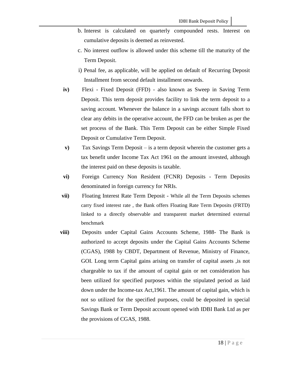- b. Interest is calculated on quarterly compounded rests. Interest on cumulative deposits is deemed as reinvested.
- c. No interest outflow is allowed under this scheme till the maturity of the Term Deposit.
- i) Penal fee, as applicable, will be applied on default of Recurring Deposit Installment from second default installment onwards.
- **iv)** Flexi Fixed Deposit (FFD) also known as Sweep in Saving Term Deposit. This term deposit provides facility to link the term deposit to a saving account. Whenever the balance in a savings account falls short to clear any debits in the operative account, the FFD can be broken as per the set process of the Bank. This Term Deposit can be either Simple Fixed Deposit or Cumulative Term Deposit.
- **v)** Tax Savings Term Deposit is a term deposit wherein the customer gets a tax benefit under Income Tax Act 1961 on the amount invested, although the interest paid on these deposits is taxable.
- **vi)** Foreign Currency Non Resident (FCNR) Deposits Term Deposits denominated in foreign currency for NRIs.
- **vii**) Floating Interest Rate Term Deposit While all the Term Deposits schemes carry fixed interest rate , the Bank offers Floating Rate Term Deposits (FRTD) linked to a directly observable and transparent market determined external benchmark
- **viii)** Deposits under Capital Gains Accounts Scheme, 1988- The Bank is authorized to accept deposits under the Capital Gains Accounts Scheme (CGAS), 1988 by CBDT, Department of Revenue, Ministry of Finance, GOI. Long term Capital gains arising on transfer of capital assets ,is not chargeable to tax if the amount of capital gain or net consideration has been utilized for specified purposes within the stipulated period as laid down under the Income-tax Act,1961. The amount of capital gain, which is not so utilized for the specified purposes, could be deposited in special Savings Bank or Term Deposit account opened with IDBI Bank Ltd as per the provisions of CGAS, 1988.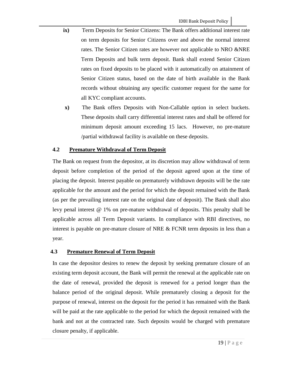- **ix)** Term Deposits for Senior Citizens: The Bank offers additional interest rate on term deposits for Senior Citizens over and above the normal interest rates. The Senior Citizen rates are however not applicable to NRO &NRE Term Deposits and bulk term deposit. Bank shall extend Senior Citizen rates on fixed deposits to be placed with it automatically on attainment of Senior Citizen status, based on the date of birth available in the Bank records without obtaining any specific customer request for the same for all KYC compliant accounts.
	- **x)** The Bank offers Deposits with Non-Callable option in select buckets. These deposits shall carry differential interest rates and shall be offered for minimum deposit amount exceeding 15 lacs. However, no pre-mature /partial withdrawal facility is available on these deposits.

## **4.2 Premature Withdrawal of Term Deposit**

The Bank on request from the depositor, at its discretion may allow withdrawal of term deposit before completion of the period of the deposit agreed upon at the time of placing the deposit. Interest payable on prematurely withdrawn deposits will be the rate applicable for the amount and the period for which the deposit remained with the Bank (as per the prevailing interest rate on the original date of deposit). The Bank shall also levy penal interest @ 1% on pre-mature withdrawal of deposits. This penalty shall be applicable across all Term Deposit variants. In compliance with RBI directives, no interest is payable on pre-mature closure of NRE & FCNR term deposits in less than a year.

## **4.3 Premature Renewal of Term Deposit**

In case the depositor desires to renew the deposit by seeking premature closure of an existing term deposit account, the Bank will permit the renewal at the applicable rate on the date of renewal, provided the deposit is renewed for a period longer than the balance period of the original deposit. While prematurely closing a deposit for the purpose of renewal, interest on the deposit for the period it has remained with the Bank will be paid at the rate applicable to the period for which the deposit remained with the bank and not at the contracted rate. Such deposits would be charged with premature closure penalty, if applicable.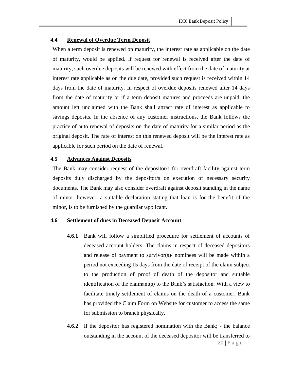#### **4.4 Renewal of Overdue Term Deposit**

When a term deposit is renewed on maturity, the interest rate as applicable on the date of maturity, would be applied. If request for renewal is received after the date of maturity, such overdue deposits will be renewed with effect from the date of maturity at interest rate applicable as on the due date, provided such request is received within 14 days from the date of maturity. In respect of overdue deposits renewed after 14 days from the date of maturity or if a term deposit matures and proceeds are unpaid, the amount left unclaimed with the Bank shall attract rate of interest as applicable to savings deposits. In the absence of any customer instructions, the Bank follows the practice of auto renewal of deposits on the date of maturity for a similar period as the original deposit. The rate of interest on this renewed deposit will be the interest rate as applicable for such period on the date of renewal.

#### **4.5 Advances Against Deposits**

The Bank may consider request of the depositor/s for overdraft facility against term deposits duly discharged by the depositor/s on execution of necessary security documents. The Bank may also consider overdraft against deposit standing in the name of minor, however, a suitable declaration stating that loan is for the benefit of the minor, is to be furnished by the guardian/applicant.

#### **4.6 Settlement of dues in Deceased Deposit Account**

- **4.6.1** Bank will follow a simplified procedure for settlement of accounts of deceased account holders. The claims in respect of deceased depositors and release of payment to survivor(s)/ nominees will be made within a period not exceeding 15 days from the date of receipt of the claim subject to the production of proof of death of the depositor and suitable identification of the claimant(s) to the Bank's satisfaction. With a view to facilitate timely settlement of claims on the death of a customer, Bank has provided the Claim Form on Website for customer to access the same for submission to branch physically.
- **4.6.2** If the depositor has registered nomination with the Bank; the balance outstanding in the account of the deceased depositor will be transferred to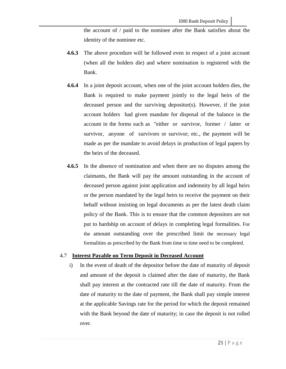the account of / paid to the nominee after the Bank satisfies about the identity of the nominee etc.

- **4.6.3** The above procedure will be followed even in respect of a joint account (when all the holders die) and where nomination is registered with the Bank.
- **4.6.4** In a joint deposit account, when one of the joint account holders dies, the Bank is required to make payment jointly to the legal heirs of the deceased person and the surviving depositor(s). However, if the joint account holders had given mandate for disposal of the balance in the account in the forms such as "either or survivor, former / latter or survivor, anyone of survivors or survivor; etc., the payment will be made as per the mandate to avoid delays in production of legal papers by the heirs of the deceased.
- **4.6.5** In the absence of nomination and when there are no disputes among the claimants, the Bank will pay the amount outstanding in the account of deceased person against joint application and indemnity by all legal heirs or the person mandated by the legal heirs to receive the payment on their behalf without insisting on legal documents as per the latest death claim policy of the Bank. This is to ensure that the common depositors are not put to hardship on account of delays in completing legal formalities. For the amount outstanding over the prescribed limit the necessary legal formalities as prescribed by the Bank from time to time need to be completed.

#### 4.7 **Interest Payable on Term Deposit in Deceased Account**

i) In the event of death of the depositor before the date of maturity of deposit and amount of the deposit is claimed after the date of maturity, the Bank shall pay interest at the contracted rate till the date of maturity. From the date of maturity to the date of payment, the Bank shall pay simple interest at the applicable Savings rate for the period for which the deposit remained with the Bank beyond the date of maturity; in case the deposit is not rolled over.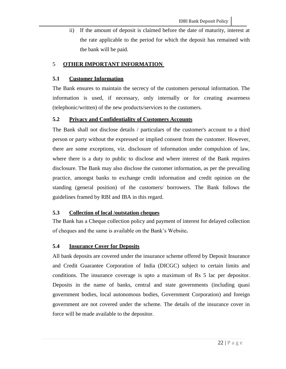ii) If the amount of deposit is claimed before the date of maturity, interest at the rate applicable to the period for which the deposit has remained with the bank will be paid.

#### 5 **OTHER IMPORTANT INFORMATION**

#### **5.1 Customer Information**

The Bank ensures to maintain the secrecy of the customers personal information. The information is used, if necessary, only internally or for creating awareness (telephonic/written) of the new products/services to the customers.

#### **5.2 Privacy and Confidentiality of Customers Accounts**

The Bank shall not disclose details / particulars of the customer's account to a third person or party without the expressed or implied consent from the customer. However, there are some exceptions, viz. disclosure of information under compulsion of law, where there is a duty to public to disclose and where interest of the Bank requires disclosure. The Bank may also disclose the customer information, as per the prevailing practice, amongst banks to exchange credit information and credit opinion on the standing (general position) of the customers/ borrowers. The Bank follows the guidelines framed by RBI and IBA in this regard.

#### **5.3 Collection of local /outstation cheques**

The Bank has a Cheque collection policy and payment of interest for delayed collection of cheques and the same is available on the Bank's Website**.**

#### **5.4 Insurance Cover for Deposits**

All bank deposits are covered under the insurance scheme offered by Deposit Insurance and Credit Guarantee Corporation of India (DICGC) subject to certain limits and conditions. The insurance coverage is upto a maximum of Rs 5 lac per depositor. Deposits in the name of banks, central and state governments (including quasi government bodies, local autonomous bodies, Government Corporation) and foreign government are not covered under the scheme. The details of the insurance cover in force will be made available to the depositor.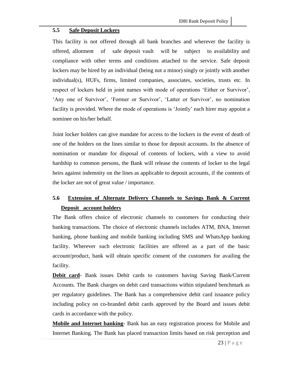#### **5.5 Safe Deposit Lockers**

This facility is not offered through all bank branches and wherever the facility is offered, allotment of safe deposit vault will be subject to availability and compliance with other terms and conditions attached to the service. Safe deposit lockers may be hired by an individual (being not a minor) singly or jointly with another individual(s), HUFs, firms, limited companies, associates, societies, trusts etc. In respect of lockers held in joint names with mode of operations 'Either or Survivor', 'Any one of Survivor', 'Former or Survivor', 'Latter or Survivor', no nomination facility is provided. Where the mode of operations is 'Jointly' each hirer may appoint a nominee on his/her behalf.

Joint locker holders can give mandate for access to the lockers in the event of death of one of the holders on the lines similar to those for deposit accounts. In the absence of nomination or mandate for disposal of contents of lockers, with a view to avoid hardship to common persons, the Bank will release the contents of locker to the legal heirs against indemnity on the lines as applicable to deposit accounts, if the contents of the locker are not of great value / importance.

# **5.6 Extension of Alternate Delivery Channels to Savings Bank & Current Deposit account holders**

The Bank offers choice of electronic channels to customers for conducting their banking transactions. The choice of electronic channels includes ATM, BNA, Internet banking, phone banking and mobile banking including SMS and WhatsApp banking facility. Wherever such electronic facilities are offered as a part of the basic account/product, bank will obtain specific consent of the customers for availing the facility.

**Debit card**- Bank issues Debit cards to customers having Saving Bank/Current Accounts. The Bank charges on debit card transactions within stipulated benchmark as per regulatory guidelines. The Bank has a comprehensive debit card issuance policy including policy on co-branded debit cards approved by the Board and issues debit cards in accordance with the policy.

**Mobile and Internet banking**- Bank has an easy registration process for Mobile and Internet Banking. The Bank has placed transaction limits based on risk perception and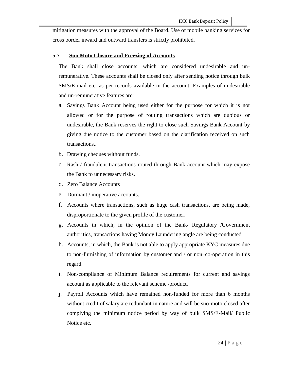mitigation measures with the approval of the Board. Use of mobile banking services for cross border inward and outward transfers is strictly prohibited.

#### **5.7 Suo Moto Closure and Freezing of Accounts**

The Bank shall close accounts, which are considered undesirable and unremunerative. These accounts shall be closed only after sending notice through bulk SMS/E-mail etc. as per records available in the account. Examples of undesirable and un-remunerative features are:

- a. Savings Bank Account being used either for the purpose for which it is not allowed or for the purpose of routing transactions which are dubious or undesirable, the Bank reserves the right to close such Savings Bank Account by giving due notice to the customer based on the clarification received on such transactions..
- b. Drawing cheques without funds.
- c. Rash / fraudulent transactions routed through Bank account which may expose the Bank to unnecessary risks.
- d. Zero Balance Accounts
- e. Dormant / inoperative accounts.
- f. Accounts where transactions, such as huge cash transactions, are being made, disproportionate to the given profile of the customer.
- g. Accounts in which, in the opinion of the Bank/ Regulatory /Government authorities, transactions having Money Laundering angle are being conducted.
- h. Accounts, in which, the Bank is not able to apply appropriate KYC measures due to non-furnishing of information by customer and / or non–co-operation in this regard.
- i. Non-compliance of Minimum Balance requirements for current and savings account as applicable to the relevant scheme /product.
- j. Payroll Accounts which have remained non-funded for more than 6 months without credit of salary are redundant in nature and will be suo-moto closed after complying the minimum notice period by way of bulk SMS/E-Mail/ Public Notice etc.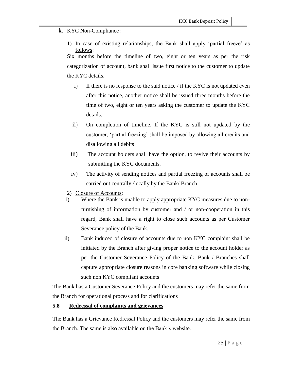- k. KYC Non-Compliance :
	- 1) In case of existing relationships, the Bank shall apply 'partial freeze' as follows:

Six months before the timeline of two, eight or ten years as per the risk categorization of account, bank shall issue first notice to the customer to update the KYC details.

- i) If there is no response to the said notice  $\ell$  if the KYC is not updated even after this notice, another notice shall be issued three months before the time of two, eight or ten years asking the customer to update the KYC details.
- ii) On completion of timeline, If the KYC is still not updated by the customer, 'partial freezing' shall be imposed by allowing all credits and disallowing all debits
- iii) The account holders shall have the option, to revive their accounts by submitting the KYC documents.
- iv) The activity of sending notices and partial freezing of accounts shall be carried out centrally /locally by the Bank/ Branch
- 2) Closure of Accounts:
- i) Where the Bank is unable to apply appropriate KYC measures due to nonfurnishing of information by customer and / or non-cooperation in this regard, Bank shall have a right to close such accounts as per Customer Severance policy of the Bank.
- ii) Bank induced of closure of accounts due to non KYC complaint shall be initiated by the Branch after giving proper notice to the account holder as per the Customer Severance Policy of the Bank. Bank / Branches shall capture appropriate closure reasons in core banking software while closing such non KYC compliant accounts

The Bank has a Customer Severance Policy and the customers may refer the same from the Branch for operational process and for clarifications

## **5.8 Redressal of complaints and grievances**

The Bank has a Grievance Redressal Policy and the customers may refer the same from the Branch. The same is also available on the Bank's website.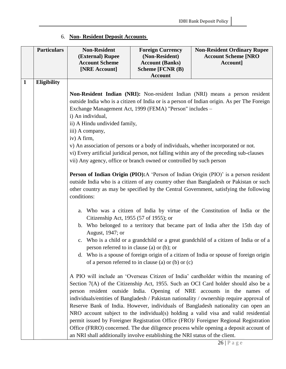## 6. **Non- Resident Deposit Accounts**

|              | <b>Particulars</b> | <b>Non-Resident</b><br>(External) Rupee<br><b>Account Scheme</b>                                                                                                                                                                                                                         | <b>Foreign Currency</b><br>(Non-Resident)<br><b>Account (Banks)</b> | <b>Non-Resident Ordinary Rupee</b><br><b>Account Scheme [NRO</b><br>Account]                                                                                                                                                                                                                                                                                                                                                          |
|--------------|--------------------|------------------------------------------------------------------------------------------------------------------------------------------------------------------------------------------------------------------------------------------------------------------------------------------|---------------------------------------------------------------------|---------------------------------------------------------------------------------------------------------------------------------------------------------------------------------------------------------------------------------------------------------------------------------------------------------------------------------------------------------------------------------------------------------------------------------------|
|              |                    | [NRE Account]                                                                                                                                                                                                                                                                            | Scheme [FCNR (B)                                                    |                                                                                                                                                                                                                                                                                                                                                                                                                                       |
|              |                    |                                                                                                                                                                                                                                                                                          | <b>Account</b>                                                      |                                                                                                                                                                                                                                                                                                                                                                                                                                       |
| $\mathbf{1}$ | <b>Eligibility</b> |                                                                                                                                                                                                                                                                                          |                                                                     |                                                                                                                                                                                                                                                                                                                                                                                                                                       |
|              |                    |                                                                                                                                                                                                                                                                                          |                                                                     | Non-Resident Indian (NRI): Non-resident Indian (NRI) means a person resident                                                                                                                                                                                                                                                                                                                                                          |
|              |                    | outside India who is a citizen of India or is a person of Indian origin. As per The Foreign                                                                                                                                                                                              |                                                                     |                                                                                                                                                                                                                                                                                                                                                                                                                                       |
|              |                    | Exchange Management Act, 1999 (FEMA) "Person" includes -                                                                                                                                                                                                                                 |                                                                     |                                                                                                                                                                                                                                                                                                                                                                                                                                       |
|              |                    | i) An individual,                                                                                                                                                                                                                                                                        |                                                                     |                                                                                                                                                                                                                                                                                                                                                                                                                                       |
|              |                    | ii) A Hindu undivided family,                                                                                                                                                                                                                                                            |                                                                     |                                                                                                                                                                                                                                                                                                                                                                                                                                       |
|              |                    | iii) A company,                                                                                                                                                                                                                                                                          |                                                                     |                                                                                                                                                                                                                                                                                                                                                                                                                                       |
|              |                    | iv) A firm,                                                                                                                                                                                                                                                                              |                                                                     |                                                                                                                                                                                                                                                                                                                                                                                                                                       |
|              |                    | v) An association of persons or a body of individuals, whether incorporated or not.<br>vi) Every artificial juridical person, not falling within any of the preceding sub-clauses<br>vii) Any agency, office or branch owned or controlled by such person                                |                                                                     |                                                                                                                                                                                                                                                                                                                                                                                                                                       |
|              |                    | Person of Indian Origin (PIO): A 'Person of Indian Origin (PIO)' is a person resident<br>outside India who is a citizen of any country other than Bangladesh or Pakistan or such<br>other country as may be specified by the Central Government, satisfying the following<br>conditions: |                                                                     |                                                                                                                                                                                                                                                                                                                                                                                                                                       |
|              |                    | Who was a citizen of India by virtue of the Constitution of India or the<br>a.<br>Citizenship Act, 1955 (57 of 1955); or                                                                                                                                                                 |                                                                     |                                                                                                                                                                                                                                                                                                                                                                                                                                       |
|              |                    | b. Who belonged to a territory that became part of India after the 15th day of<br>August, 1947; or                                                                                                                                                                                       |                                                                     |                                                                                                                                                                                                                                                                                                                                                                                                                                       |
|              |                    | c. Who is a child or a grandchild or a great grandchild of a citizen of India or of a<br>person referred to in clause (a) or (b); or                                                                                                                                                     |                                                                     |                                                                                                                                                                                                                                                                                                                                                                                                                                       |
|              |                    | d. Who is a spouse of foreign origin of a citizen of India or spouse of foreign origin<br>of a person referred to in clause (a) or (b) or $(c)$                                                                                                                                          |                                                                     |                                                                                                                                                                                                                                                                                                                                                                                                                                       |
|              |                    |                                                                                                                                                                                                                                                                                          |                                                                     | A PIO will include an 'Overseas Citizen of India' cardholder within the meaning of<br>Section 7(A) of the Citizenship Act, 1955. Such an OCI Card holder should also be a<br>person resident outside India. Opening of NRE accounts in the names of<br>individuals/entities of Bangladesh / Pakistan nationality / ownership require approval of<br>Reserve Bank of India. However, individuals of Bangladesh nationality can open an |
|              |                    |                                                                                                                                                                                                                                                                                          |                                                                     | NRO account subject to the individual(s) holding a valid visa and valid residential<br>permit issued by Foreigner Registration Office (FRO)/ Foreigner Regional Registration                                                                                                                                                                                                                                                          |
|              |                    |                                                                                                                                                                                                                                                                                          |                                                                     | Office (FRRO) concerned. The due diligence process while opening a deposit account of                                                                                                                                                                                                                                                                                                                                                 |
|              |                    | an NRI shall additionally involve establishing the NRI status of the client.                                                                                                                                                                                                             |                                                                     |                                                                                                                                                                                                                                                                                                                                                                                                                                       |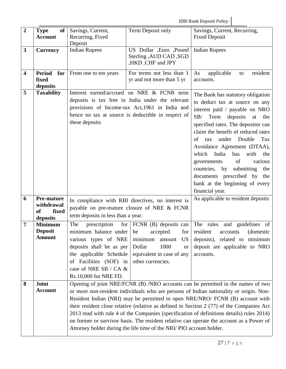IDBI Bank Deposit Policy

| $\boldsymbol{2}$ | of<br><b>Type</b><br><b>Account</b>                               | Savings, Current,<br>Recurring, Fixed<br>Deposit                                                                                                                                                              | Term Deposit only                                                                                                                                                                                       | Savings, Current, Recurring,<br><b>Fixed Deposit</b>                                                                                                                                                                                                                                                                                                                                                                                                                                                                                              |
|------------------|-------------------------------------------------------------------|---------------------------------------------------------------------------------------------------------------------------------------------------------------------------------------------------------------|---------------------------------------------------------------------------------------------------------------------------------------------------------------------------------------------------------|---------------------------------------------------------------------------------------------------------------------------------------------------------------------------------------------------------------------------------------------------------------------------------------------------------------------------------------------------------------------------------------------------------------------------------------------------------------------------------------------------------------------------------------------------|
| 3                | <b>Currency</b>                                                   | <b>Indian Rupees</b>                                                                                                                                                                                          | US Dollar ,Euro ,Pound<br>Sterling , AUD CAD, SGD<br>,HKD, CHF and JPY                                                                                                                                  | <b>Indian Rupees</b>                                                                                                                                                                                                                                                                                                                                                                                                                                                                                                                              |
| 4                | <b>Period</b><br>for<br>fixed<br>deposits                         | From one to ten years                                                                                                                                                                                         | For terms not less than 1<br>yr and not more than 5 yr                                                                                                                                                  | applicable<br>resident<br>As<br>to<br>accounts.                                                                                                                                                                                                                                                                                                                                                                                                                                                                                                   |
| 5                | <b>Taxability</b>                                                 | these deposits                                                                                                                                                                                                | Interest earned/accrued on NRE & FCNR term<br>deposits is tax free in India under the relevant<br>provisions of Income-tax Act, 1961 in India and<br>hence no tax at source is deductible in respect of | The Bank has statutory obligation<br>to deduct tax at source on any<br>interest paid / payable on NRO<br>SB/<br>Term<br>deposits<br>at<br>the<br>specified rates. The depositor can<br>claim the benefit of reduced rates<br>under Double<br>Tax<br>of<br>tax<br>Avoidance Agreement (DTAA),<br>which<br>India<br>has<br>with<br>the<br>of<br>various<br>governments<br>submitting<br>countries, by<br>the<br>documents prescribed by<br>the<br>bank at the beginning of every<br>financial year.                                                 |
| 6                | <b>Pre-mature</b><br>withdrawal<br><b>of</b><br>fixed<br>deposits | In compliance with RBI directives, no interest is<br>payable on pre-mature closure of NRE & FCNR<br>term deposits in less than a year.                                                                        |                                                                                                                                                                                                         | As applicable to resident deposits                                                                                                                                                                                                                                                                                                                                                                                                                                                                                                                |
| 7                | <b>Minimum</b><br><b>Deposit</b><br><b>Amount</b>                 | The<br>prescription<br>minimum balance under be<br>various types of NRE<br>deposits shall be as per<br>the applicable Schedule<br>Facilities (SOF) in<br>of<br>case of NRE SB / CA &<br>Rs.10,000 for NRE FD. | for $ FCNR$ (B) deposits can<br>for <sub>1</sub><br>accepted<br>minimum<br>amount US<br>1000<br>Dollar<br><b>or</b><br>equivalent in case of any<br>other currencies.                                   | The rules<br>and guidelines<br>of<br>resident<br>(domestic)<br>accounts<br>deposits), related to minimum<br>deposit are applicable to NRO<br>accounts.                                                                                                                                                                                                                                                                                                                                                                                            |
| 8                | Joint<br><b>Account</b>                                           |                                                                                                                                                                                                               | Attorney holder during the life time of the NRI/PIO account holder.                                                                                                                                     | Opening of joint NRE/FCNR (B) /NRO accounts can be permitted in the names of two<br>or more non-resident individuals who are persons of Indian nationality or origin. Non-<br>Resident Indian (NRI) may be permitted to open NRE/NRO/ FCNR (B) account with<br>their resident close relative (relative as defined in Section 2 (77) of the Companies Act<br>2013 read with rule 4 of the Companies (specification of definitions details) rules 2014)<br>on former or survivor basis. The resident relative can operate the account as a Power of |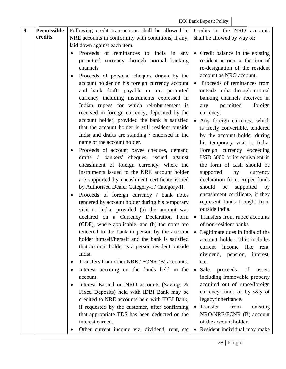| 9 | <b>Permissible</b> | Following credit transactions shall be allowed in<br>Credits in the NRO accounts |                                               |
|---|--------------------|----------------------------------------------------------------------------------|-----------------------------------------------|
|   | credits            | NRE accounts in conformity with conditions, if any,                              | shall be allowed by way of:                   |
|   |                    | laid down against each item.                                                     |                                               |
|   |                    | Proceeds of remittances to India in any                                          | • Credit balance in the existing              |
|   |                    | permitted currency through normal banking                                        | resident account at the time of               |
|   |                    | channels                                                                         | re-designation of the resident                |
|   |                    | Proceeds of personal cheques drawn by the                                        | account as NRO account.                       |
|   |                    | account holder on his foreign currency account                                   | Proceeds of remittances from<br>$\bullet$     |
|   |                    | and bank drafts payable in any permitted                                         | outside India through normal                  |
|   |                    | currency including instruments expressed in                                      | banking channels received in                  |
|   |                    | Indian rupees for which reimbursement is                                         | permitted<br>foreign<br>any                   |
|   |                    | received in foreign currency, deposited by the                                   | currency.                                     |
|   |                    | account holder, provided the bank is satisfied                                   | Any foreign currency, which                   |
|   |                    | that the account holder is still resident outside                                | is freely convertible, tendered               |
|   |                    | India and drafts are standing / endorsed in the                                  | by the account holder during                  |
|   |                    | name of the account holder.                                                      | his temporary visit to India.                 |
|   |                    | Proceeds of account payee cheques, demand                                        | Foreign currency exceeding                    |
|   |                    | drafts / bankers' cheques, issued against                                        | USD 5000 or its equivalent in                 |
|   |                    | encashment of foreign currency, where the                                        | the form of cash should be                    |
|   |                    | instruments issued to the NRE account holder                                     | supported<br>by<br>currency                   |
|   |                    | are supported by encashment certificate issued                                   | declaration form. Rupee funds                 |
|   |                    | by Authorised Dealer Category-I / Category-II.                                   | should<br>be<br>supported<br>by               |
|   |                    | Proceeds of foreign currency / bank notes                                        | encashment certificate, if they               |
|   |                    | tendered by account holder during his temporary                                  | represent funds brought from                  |
|   |                    | visit to India, provided (a) the amount was                                      | outside India.                                |
|   |                    | declared on a Currency Declaration Form                                          | Transfers from rupee accounts                 |
|   |                    | (CDF), where applicable, and (b) the notes are                                   | of non-resident banks                         |
|   |                    | tendered to the bank in person by the account                                    | Legitimate dues in India of the               |
|   |                    | holder himself/herself and the bank is satisfied                                 | account holder. This includes                 |
|   |                    | that account holder is a person resident outside<br>India.                       | like<br>income<br>current<br>rent,            |
|   |                    | Transfers from other NRE / FCNR (B) accounts.                                    | dividend, pension,<br>interest,<br>etc.       |
|   |                    | Interest accruing on the funds held in the<br>$\bullet$                          | Sale<br>proceeds<br>of<br>assets<br>$\bullet$ |
|   |                    | account.                                                                         | including immovable property                  |
|   |                    | Interest Earned on NRO accounts (Savings &                                       | acquired out of rupee/foreign                 |
|   |                    | Fixed Deposits) held with IDBI Bank may be                                       | currency funds or by way of                   |
|   |                    | credited to NRE accounts held with IDBI Bank,                                    | legacy/inheritance.                           |
|   |                    | if requested by the customer, after confirming                                   | Transfer<br>from<br>existing<br>$\bullet$     |
|   |                    | that appropriate TDS has been deducted on the                                    | NRO/NRE/FCNR (B) account                      |
|   |                    | interest earned.                                                                 | of the account holder.                        |
|   |                    | Other current income viz. dividend, rent, etc                                    | Resident individual may make<br>$\bullet$     |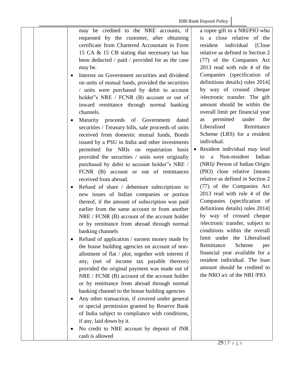may be credited to the NRE accounts, if requested by the customer, after obtaining certificate from Chartered Accountant in Form 15 CA & 15 CB stating that necessary tax has been deducted / paid / provided for as the case may be.

- Interest on Government securities and dividend on units of mutual funds, provided the securities / units were purchased by debit to account holder"s NRE / FCNR (B) account or out of inward remittance through normal banking channels.
- Maturity proceeds of Government dated securities / Treasury bills, sale proceeds of units received from domestic mutual funds, Bonds issued by a PSU in India and other investments permitted for NRIs on repatriation basis provided the securities / units were originally purchased by debit to account holder"s NRE / FCNR (B) account or out of remittances received from abroad.
- Refund of share / debenture subscriptions to new issues of Indian companies or portion thereof, if the amount of subscription was paid earlier from the same account or from another NRE / FCNR (B) account of the account holder or by remittance from abroad through normal banking channels
- Refund of application / earnest money made by the house building agencies on account of nonallotment of flat / plot, together with interest if any, (net of income tax payable thereon) provided the original payment was made out of NRE / FCNR (B) account of the account holder or by remittance from abroad through normal banking channel to the house building agencies
- Any other transaction, if covered under general or special permission granted by Reserve Bank of India subject to compliance with conditions, if any, laid down by it.
- No credit to NRE account by deposit of INR cash is allowed

a rupee gift to a NRI/PIO who is a close relative of the resident individual [Close relative as defined in Section 2 (77) of the Companies Act 2013 read with rule 4 of the Companies (specification of definitions details) rules 2014] by way of crossed cheque /electronic transfer. The gift amount should be within the overall limit per financial year as permitted under the Liberalised Remittance Scheme (LRS) for a resident individual.

 Resident individual may lend to a Non-resident Indian (NRI)/ Person of Indian Origin (PIO) close relative [means relative as defined in Section 2 (77) of the Companies Act 2013 read with rule 4 of the Companies (specification of definitions details) rules 2014] by way of crossed cheque /electronic transfer, subject to conditions within the overall limit under the Liberalised Remittance Scheme per financial year available for a resident individual. The loan amount should be credited to the NRO a/c of the NRI /PIO.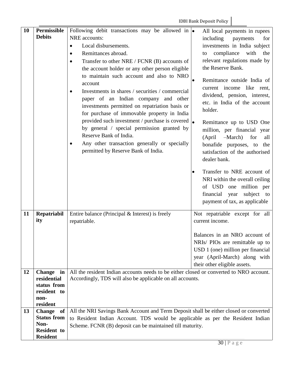| 10 | <b>Permissible</b>         | Following debit transactions may be allowed in $\bullet$                                |  | All local payments in rupees                                 |
|----|----------------------------|-----------------------------------------------------------------------------------------|--|--------------------------------------------------------------|
|    | <b>Debits</b>              | NRE accounts:                                                                           |  | including<br>payments<br>for                                 |
|    |                            | Local disbursements.<br>$\bullet$                                                       |  | investments in India subject                                 |
|    |                            | Remittances abroad.<br>$\bullet$                                                        |  | compliance with<br>the<br>to                                 |
|    |                            | Transfer to other NRE / FCNR (B) accounts of<br>$\bullet$                               |  | relevant regulations made by                                 |
|    |                            | the account holder or any other person eligible                                         |  | the Reserve Bank.                                            |
|    |                            | to maintain such account and also to NRO                                                |  |                                                              |
|    |                            | account                                                                                 |  | Remittance outside India of                                  |
|    |                            | Investments in shares / securities / commercial                                         |  | current income like rent,                                    |
|    |                            | paper of an Indian company and other                                                    |  | dividend, pension, interest,<br>etc. in India of the account |
|    |                            | investments permitted on repatriation basis or                                          |  | holder.                                                      |
|    |                            | for purchase of immovable property in India                                             |  |                                                              |
|    |                            | provided such investment / purchase is covered $\vert_{\bullet}$                        |  | Remittance up to USD One                                     |
|    |                            | by general / special permission granted by                                              |  | million, per financial year                                  |
|    |                            | Reserve Bank of India.                                                                  |  | -March)<br>for<br>(April)<br>all                             |
|    |                            | Any other transaction generally or specially<br>٠                                       |  | bonafide purposes, to the                                    |
|    |                            | permitted by Reserve Bank of India.                                                     |  | satisfaction of the authorised                               |
|    |                            |                                                                                         |  | dealer bank.                                                 |
|    |                            |                                                                                         |  | Transfer to NRE account of                                   |
|    |                            |                                                                                         |  | NRI within the overall ceiling                               |
|    |                            |                                                                                         |  | of USD one million per                                       |
|    |                            |                                                                                         |  | financial year subject to                                    |
|    |                            |                                                                                         |  | payment of tax, as applicable                                |
| 11 | Repatriabil                | Entire balance (Principal $&$ Interest) is freely                                       |  | Not repatriable except for all                               |
|    | ity                        | repatriable.                                                                            |  | current income.                                              |
|    |                            |                                                                                         |  |                                                              |
|    |                            |                                                                                         |  | Balances in an NRO account of                                |
|    |                            |                                                                                         |  | NRIs/ PIOs are remittable up to                              |
|    |                            |                                                                                         |  | USD 1 (one) million per financial                            |
|    |                            |                                                                                         |  | year (April-March) along with                                |
|    |                            |                                                                                         |  | their other eligible assets.                                 |
| 12 | <b>Change</b><br>in        | All the resident Indian accounts needs to be either closed or converted to NRO account. |  |                                                              |
|    | residential<br>status from | Accordingly, TDS will also be applicable on all accounts.                               |  |                                                              |
|    | resident to                |                                                                                         |  |                                                              |
|    | non-                       |                                                                                         |  |                                                              |
|    | resident                   |                                                                                         |  |                                                              |
| 13 | Change of                  | All the NRI Savings Bank Account and Term Deposit shall be either closed or converted   |  |                                                              |
|    | <b>Status from</b><br>Non- | to Resident Indian Account. TDS would be applicable as per the Resident Indian          |  |                                                              |
|    | <b>Resident to</b>         | Scheme. FCNR (B) deposit can be maintained till maturity.                               |  |                                                              |
|    | <b>Resident</b>            |                                                                                         |  |                                                              |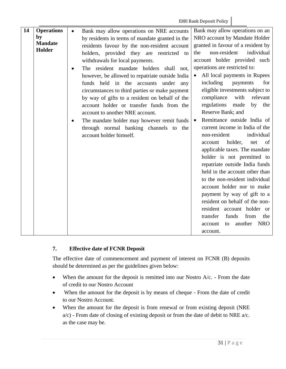| 14 | <b>Operations</b> | Bank may allow operations on NRE accounts<br>$\bullet$  | Bank may allow operations on an           |  |
|----|-------------------|---------------------------------------------------------|-------------------------------------------|--|
|    | by                | by residents in terms of mandate granted in the         | NRO account by Mandate Holder             |  |
|    | <b>Mandate</b>    | residents favour by the non-resident account            | granted in favour of a resident by        |  |
|    | Holder            | holders, provided they are restricted to                | non-resident<br>individual<br>the         |  |
|    |                   | withdrawals for local payments.                         | account holder provided such              |  |
|    |                   | The resident mandate holders shall not,                 | operations are restricted to:             |  |
|    |                   | however, be allowed to repatriate outside India         | All local payments in Rupees<br>$\bullet$ |  |
|    |                   | funds held in the accounts under any                    | including<br>for<br>payments              |  |
|    |                   | circumstances to third parties or make payment          | eligible investments subject to           |  |
|    |                   | by way of gifts to a resident on behalf of the          | compliance<br>with<br>relevant            |  |
|    |                   | account holder or transfer funds from the               | regulations<br>made<br>by<br>the          |  |
|    |                   | account to another NRE account.                         | Reserve Bank; and                         |  |
|    |                   | The mandate holder may however remit funds<br>$\bullet$ | Remittance outside India of<br>$\bullet$  |  |
|    |                   | through normal banking channels to the                  | current income in India of the            |  |
|    |                   | account holder himself.                                 | non-resident<br>individual                |  |
|    |                   |                                                         | holder,<br>net<br>account<br>of           |  |
|    |                   |                                                         | applicable taxes. The mandate             |  |
|    |                   |                                                         | holder is not permitted to                |  |
|    |                   |                                                         | repatriate outside India funds            |  |
|    |                   |                                                         | held in the account other than            |  |
|    |                   |                                                         | to the non-resident individual            |  |
|    |                   |                                                         | account holder nor to make                |  |
|    |                   |                                                         | payment by way of gift to a               |  |
|    |                   |                                                         | resident on behalf of the non-            |  |
|    |                   |                                                         | resident account holder or                |  |
|    |                   |                                                         | transfer<br>from<br>funds<br>the          |  |
|    |                   |                                                         | another<br><b>NRO</b><br>account<br>to    |  |
|    |                   |                                                         | account.                                  |  |

## **7. Effective date of FCNR Deposit**

The effective date of commencement and payment of interest on FCNR (B) deposits should be determined as per the guidelines given below:

- When the amount for the deposit is remitted into our Nostro A/c. From the date of credit to our Nostro Account
- When the amount for the deposit is by means of cheque From the date of credit to our Nostro Account.
- When the amount for the deposit is from renewal or from existing deposit (NRE a/c) - From date of closing of existing deposit or from the date of debit to NRE a/c. as the case may be.